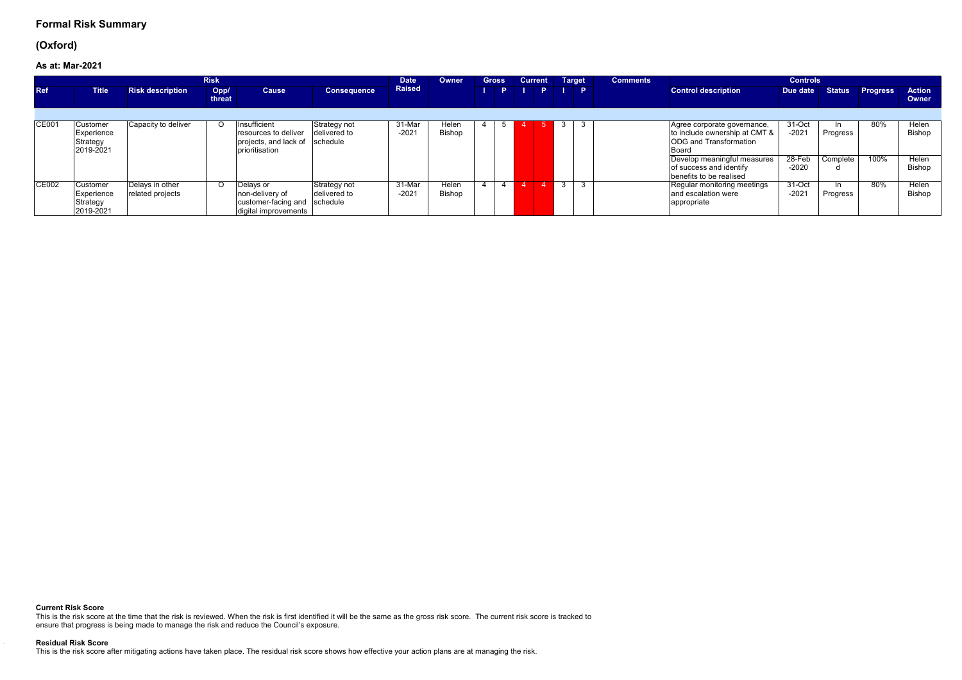## **(Oxford)**

**As at:Mar-2021**

|              |                                                 | <b>Risk</b>                         |                | <b>Date</b>                                                                          | Owner                                    | <b>Gross</b>      |                 | <b>Current</b> | <b>Target</b> | <b>Comments</b> |         | <b>Controls</b> |                                                                                                                                                                                             |                                          |                             |                 |                                    |
|--------------|-------------------------------------------------|-------------------------------------|----------------|--------------------------------------------------------------------------------------|------------------------------------------|-------------------|-----------------|----------------|---------------|-----------------|---------|-----------------|---------------------------------------------------------------------------------------------------------------------------------------------------------------------------------------------|------------------------------------------|-----------------------------|-----------------|------------------------------------|
| <b>Ref</b>   | <b>Title</b>                                    | <b>Risk description</b>             | Opp/<br>threat | <b>Cause</b>                                                                         | <b>Consequence</b>                       | <b>Raised</b>     |                 |                | P.            | <b>IPID</b>     |         |                 | <b>Control description</b>                                                                                                                                                                  | Due date                                 |                             | Status Progress | <b>Action</b><br><b>Owner</b>      |
|              |                                                 |                                     |                |                                                                                      |                                          |                   |                 |                |               |                 |         |                 |                                                                                                                                                                                             |                                          |                             |                 |                                    |
| <b>CE001</b> | Customer<br>Experience<br>Strategy<br>2019-2021 | Capacity to deliver                 |                | Insufficient<br>resources to deliver<br>projects, and lack of<br>prioritisation      | Strategy not<br>delivered to<br>schedule | 31-Mar<br>$-2021$ | Helen<br>Bishop |                |               |                 | 3       |                 | Agree corporate governance,<br>to include ownership at CMT &<br><b>ODG</b> and Transformation<br>Board<br>Develop meaningful measures<br>of success and identify<br>benefits to be realised | 31-Oct<br>$-2021$<br>$28-Feb$<br>$-2020$ | In.<br>Progress<br>Complete | 80%<br>100%     | Helen<br>Bishop<br>Helen<br>Bishop |
| <b>CE002</b> | Customer<br>Experience<br>Strategy<br>2019-2021 | Delays in other<br>related projects |                | Delays or<br>non-delivery of<br>customer-facing and schedule<br>digital improvements | Strategy not<br>delivered to             | 31-Mar<br>$-2021$ | Helen<br>Bishop |                |               |                 | 3<br>-3 |                 | Regular monitoring meetings<br>and escalation were<br>appropriate                                                                                                                           | $31 - Oct$<br>$-2021$                    | In.<br>Progress             | 80%             | Helen<br>Bishop                    |

### **Current Risk Score**

This is the risk score at the time that the risk is reviewed. When the risk is first identified it will be the same as the gross risk score. The current risk score is tracked to ensure that progress is being made to manage the risk and reduce the Council's exposure.

#### **Residual Risk Score**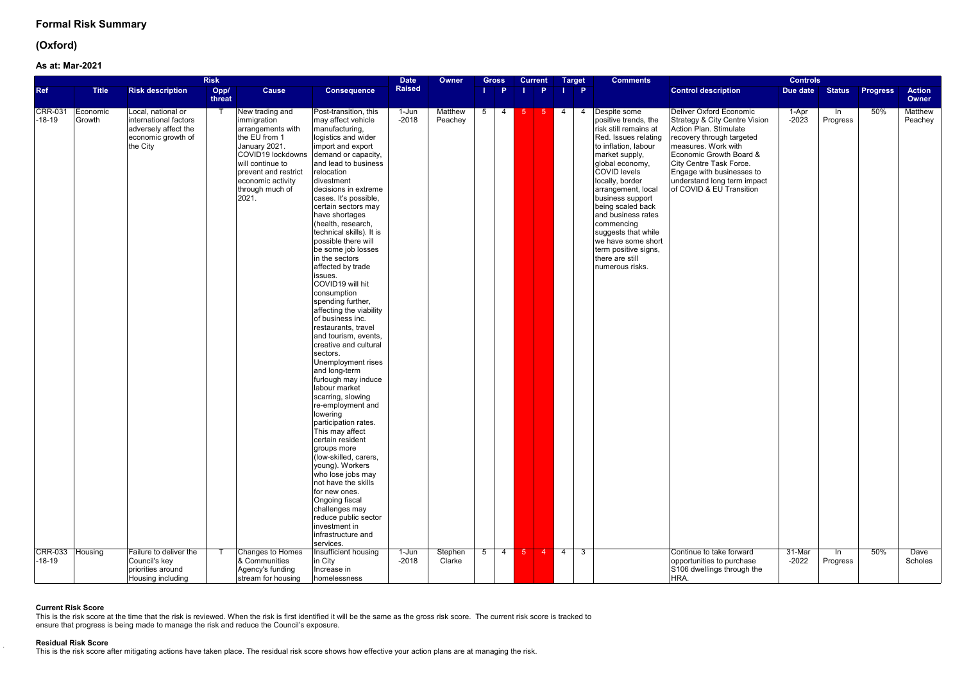## **(Oxford)**

### **As at:Mar-2021**

|                                              |                               |                                                                                                                                 | <b>Risk</b>    |                                                                                                                                                                                                                             |                                                                                                                                                                                                                                                                                                                                                                                                                                                                                                                                                                                                                                                                                                                                                                                                                                                                                                                                                                                                                                                                                                | <b>Date</b>                 | Owner                                | <b>Gross</b>                  | <b>Current</b> |                        | <b>Target</b>  | <b>Comments</b>                                                                                                                                                                                                                                                                                                                                                                                            |                                                                                                                                                                                                                                                                                                                         | <b>Controls</b>            |                          |                 |                                          |
|----------------------------------------------|-------------------------------|---------------------------------------------------------------------------------------------------------------------------------|----------------|-----------------------------------------------------------------------------------------------------------------------------------------------------------------------------------------------------------------------------|------------------------------------------------------------------------------------------------------------------------------------------------------------------------------------------------------------------------------------------------------------------------------------------------------------------------------------------------------------------------------------------------------------------------------------------------------------------------------------------------------------------------------------------------------------------------------------------------------------------------------------------------------------------------------------------------------------------------------------------------------------------------------------------------------------------------------------------------------------------------------------------------------------------------------------------------------------------------------------------------------------------------------------------------------------------------------------------------|-----------------------------|--------------------------------------|-------------------------------|----------------|------------------------|----------------|------------------------------------------------------------------------------------------------------------------------------------------------------------------------------------------------------------------------------------------------------------------------------------------------------------------------------------------------------------------------------------------------------------|-------------------------------------------------------------------------------------------------------------------------------------------------------------------------------------------------------------------------------------------------------------------------------------------------------------------------|----------------------------|--------------------------|-----------------|------------------------------------------|
| <b>Ref</b>                                   | <b>Title</b>                  | <b>Risk description</b>                                                                                                         | Opp/<br>threat | <b>Cause</b>                                                                                                                                                                                                                | <b>Consequence</b>                                                                                                                                                                                                                                                                                                                                                                                                                                                                                                                                                                                                                                                                                                                                                                                                                                                                                                                                                                                                                                                                             | <b>Raised</b>               |                                      | <b>P</b>                      |                | P.                     | $\blacksquare$ |                                                                                                                                                                                                                                                                                                                                                                                                            | <b>Control description</b>                                                                                                                                                                                                                                                                                              | Due date                   | <b>Status</b>            | <b>Progress</b> | <b>Action</b><br>Owner                   |
| <b>CRR-031</b><br>$-18-19$<br><b>CRR-033</b> | Economic<br>Growth<br>Housing | Local, national or<br>international factors<br>adversely affect the<br>economic growth of<br>the City<br>Failure to deliver the |                | New trading and<br>immigration<br>arrangements with<br>the EU from 1<br>January 2021.<br>COVID19 lockdowns<br>will continue to<br>prevent and restrict<br>economic activity<br>through much of<br>2021.<br>Changes to Homes | Post-transition, this<br>may affect vehicle<br>manufacturing,<br>logistics and wider<br>import and export<br>demand or capacity,<br>and lead to business<br>relocation<br>divestment<br>decisions in extreme<br>cases. It's possible,<br>certain sectors may<br>have shortages<br>(health, research,<br>technical skills). It is<br>possible there will<br>be some job losses<br>in the sectors<br>affected by trade<br>issues.<br>COVID19 will hit<br>consumption<br>spending further,<br>affecting the viability<br>of business inc.<br>restaurants, travel<br>and tourism, events,<br>creative and cultural<br>sectors.<br>Unemployment rises<br>and long-term<br>furlough may induce<br>labour market<br>scarring, slowing<br>re-employment and<br>lowering<br>participation rates.<br>This may affect<br>certain resident<br>groups more<br>(low-skilled, carers,<br>young). Workers<br>who lose jobs may<br>not have the skills<br>for new ones.<br>Ongoing fiscal<br>challenges may<br>reduce public sector<br>investment in<br>infrastructure and<br>services.<br>Insufficient housing | 1-Jun<br>$-2018$<br>$1-Jun$ | <b>Matthew</b><br>Peachey<br>Stephen | 5<br>4<br>5<br>$\overline{4}$ | -5.<br>$-5$    | $5 \t 4$<br>$4 \mid 4$ | 3 <sup>5</sup> | Despite some<br>positive trends, the<br>risk still remains at<br>Red. Issues relating<br>to inflation, labour<br>market supply,<br>global economy,<br><b>COVID levels</b><br>locally, border<br>arrangement, local<br>business support<br>being scaled back<br>and business rates<br>commencing<br>suggests that while<br>we have some short<br>term positive signs,<br>there are still<br>numerous risks. | <b>Deliver Oxford Economic</b><br>Strategy & City Centre Vision<br>Action Plan. Stimulate<br>recovery through targeted<br>measures. Work with<br>Economic Growth Board &<br>City Centre Task Force.<br>Engage with businesses to<br>understand long term impact<br>of COVID & EU Transition<br>Continue to take forward | 1-Apr<br>$-2023$<br>31-Mar | -In<br>Progress<br>In In | 50%<br>50%      | <b>Matthew</b><br>Peachey<br><b>Dave</b> |
| $-18-19$                                     |                               | Council's key<br>priorities around<br>Housing including                                                                         |                | & Communities<br>Agency's funding<br>stream for housing                                                                                                                                                                     | in City<br>Increase in<br>homelessness                                                                                                                                                                                                                                                                                                                                                                                                                                                                                                                                                                                                                                                                                                                                                                                                                                                                                                                                                                                                                                                         | $-2018$                     | Clarke                               |                               |                |                        |                |                                                                                                                                                                                                                                                                                                                                                                                                            | opportunities to purchase<br>S106 dwellings through the<br>HRA.                                                                                                                                                                                                                                                         | $-2022$                    | Progress                 |                 | Scholes                                  |

### **Current Risk Score**

This is the risk score at the time that the risk is reviewed. When the risk is first identified it will be the same as the gross risk score. The current risk score is tracked to ensure that progress is being made to manage the risk and reduce the Council's exposure.

### **Residual Risk Score**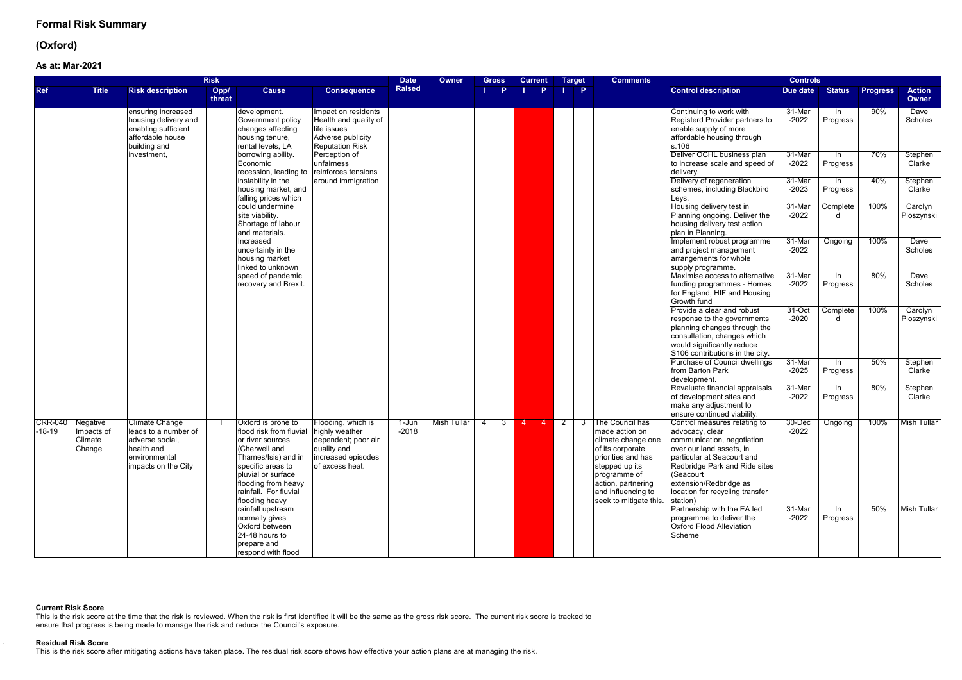## **(Oxford)**

### **As at:Mar-2021**

|                              | <b>Risk</b>                     |                                                                                                                        |                |                                                                                                                                                                                                                        |                                                                                                                     |                    | <b>Owner</b> | Gross                            | <b>Current</b>                   |            | <b>Comments</b><br><b>Target</b>                                                                                                                                                                               |                                                                                                                                                                                                                                                                | <b>Controls</b>       |                          |                 |                        |
|------------------------------|---------------------------------|------------------------------------------------------------------------------------------------------------------------|----------------|------------------------------------------------------------------------------------------------------------------------------------------------------------------------------------------------------------------------|---------------------------------------------------------------------------------------------------------------------|--------------------|--------------|----------------------------------|----------------------------------|------------|----------------------------------------------------------------------------------------------------------------------------------------------------------------------------------------------------------------|----------------------------------------------------------------------------------------------------------------------------------------------------------------------------------------------------------------------------------------------------------------|-----------------------|--------------------------|-----------------|------------------------|
| <b>Ref</b>                   | <b>Title</b>                    | <b>Risk description</b>                                                                                                | Opp/<br>threat | <b>Cause</b>                                                                                                                                                                                                           | <b>Consequence</b>                                                                                                  | <b>Raised</b>      |              | D                                | <b>P</b>                         |            | $\mathsf{I}$ $\mathsf{P}$                                                                                                                                                                                      | <b>Control description</b>                                                                                                                                                                                                                                     | Due date              | <b>Status</b>            | <b>Progress</b> | <b>Action</b><br>Owner |
|                              |                                 | ensuring increased<br>housing delivery and<br>enabling sufficient<br>affordable house<br>building and                  |                | development.<br>Government policy<br>changes affecting<br>housing tenure,<br>rental levels, LA                                                                                                                         | Impact on residents<br>Health and quality of<br>life issues<br>Adverse publicity<br><b>Reputation Risk</b>          |                    |              |                                  |                                  |            |                                                                                                                                                                                                                | Continuing to work with<br>Registerd Provider partners to<br>enable supply of more<br>affordable housing through<br>s.106                                                                                                                                      | 31-Mar<br>$-2022$     | -In<br>Progress          | 90%             | Dave<br>Scholes        |
|                              |                                 | investment.                                                                                                            |                | borrowing ability.<br>Economic<br>recession, leading to                                                                                                                                                                | Perception of<br>unfairness<br>reinforces tensions                                                                  |                    |              |                                  |                                  |            |                                                                                                                                                                                                                | Deliver OCHL business plan<br>to increase scale and speed of<br>delivery.                                                                                                                                                                                      | 31-Mar<br>$-2022$     | $\ln$<br>Progress        | 70%             | Stephen<br>Clarke      |
|                              |                                 |                                                                                                                        |                | instability in the<br>housing market, and<br>falling prices which                                                                                                                                                      | around immigration                                                                                                  |                    |              |                                  |                                  |            |                                                                                                                                                                                                                | Delivery of regeneration<br>schemes, including Blackbird<br>Leys.                                                                                                                                                                                              | 31-Mar<br>$-2023$     | ln.<br>Progress          | 40%             | Stephen<br>Clarke      |
|                              |                                 |                                                                                                                        |                | could undermine<br>site viability.<br>Shortage of labour<br>and materials.                                                                                                                                             |                                                                                                                     |                    |              |                                  |                                  |            |                                                                                                                                                                                                                | Housing delivery test in<br>Planning ongoing. Deliver the<br>housing delivery test action<br>plan in Planning.                                                                                                                                                 | 31-Mar<br>$-2022$     | Complete<br>d.           | 100%            | Carolyn<br>Ploszynski  |
|                              |                                 |                                                                                                                        |                | Increased<br>uncertainty in the<br>housing market<br>linked to unknown                                                                                                                                                 |                                                                                                                     |                    |              |                                  |                                  |            |                                                                                                                                                                                                                | Implement robust programme<br>and project management<br>arrangements for whole<br>supply programme.                                                                                                                                                            | 31-Mar<br>$-2022$     | Ongoing                  | 100%            | Dave<br>Scholes        |
|                              |                                 |                                                                                                                        |                | speed of pandemic<br>recovery and Brexit.                                                                                                                                                                              |                                                                                                                     |                    |              |                                  |                                  |            |                                                                                                                                                                                                                | Maximise access to alternative<br>funding programmes - Homes<br>for England, HIF and Housing<br>Growth fund                                                                                                                                                    | 31-Mar<br>$-2022$     | In<br>Progress           | 80%             | <b>Dave</b><br>Scholes |
|                              |                                 |                                                                                                                        |                |                                                                                                                                                                                                                        |                                                                                                                     |                    |              |                                  |                                  |            |                                                                                                                                                                                                                | Provide a clear and robust<br>response to the governments<br>planning changes through the<br>consultation, changes which<br>would significantly reduce<br>S106 contributions in the city.                                                                      | 31-Oct<br>$-2020$     | Complete<br><sub>d</sub> | 100%            | Carolyn<br>Ploszynski  |
|                              |                                 |                                                                                                                        |                |                                                                                                                                                                                                                        |                                                                                                                     |                    |              |                                  |                                  |            |                                                                                                                                                                                                                | Purchase of Council dwellings<br>from Barton Park<br>development.                                                                                                                                                                                              | 31-Mar<br>$-2025$     | -In<br>Progress          | 50%             | Stephen<br>Clarke      |
|                              |                                 |                                                                                                                        |                |                                                                                                                                                                                                                        |                                                                                                                     |                    |              |                                  |                                  |            |                                                                                                                                                                                                                | Revaluate financial appraisals<br>of development sites and<br>make any adjustment to<br>ensure continued viability.                                                                                                                                            | 31-Mar<br>$-2022$     | ln.<br>Progress          | 80%             | Stephen<br>Clarke      |
| CRR-040 Negative<br>$-18-19$ | Impacts of<br>Climate<br>Change | <b>Climate Change</b><br>leads to a number of<br>adverse social,<br>health and<br>environmental<br>impacts on the City |                | Oxford is prone to<br>flood risk from fluvial<br>or river sources<br>(Cherwell and<br>Thames/Isis) and in<br>specific areas to<br>pluvial or surface<br>flooding from heavy<br>rainfall. For fluvial<br>flooding heavy | Flooding, which is<br>highly weather<br>dependent; poor air<br>quality and<br>increased episodes<br>of excess heat. | $1-Jun$<br>$-2018$ | Mish Tullar  | $\overline{4}$<br>3 <sup>1</sup> | $\overline{4}$<br>$\overline{4}$ | $\sqrt{2}$ | The Council has<br>3<br>made action on<br>climate change one<br>of its corporate<br>priorities and has<br>stepped up its<br>programme of<br>action, partnering<br>and influencing to<br>seek to mitigate this. | Control measures relating to<br>advocacy, clear<br>communication, negotiation<br>over our land assets, in<br>particular at Seacourt and<br>Redbridge Park and Ride sites<br>(Seacourt<br>extension/Redbridge as<br>location for recycling transfer<br>station) | $30 - Dec$<br>$-2022$ | Ongoing                  | 100%            | <b>Mish Tullar</b>     |
|                              |                                 |                                                                                                                        |                | rainfall upstream<br>normally gives<br>Oxford between<br>24-48 hours to<br>prepare and<br>respond with flood                                                                                                           |                                                                                                                     |                    |              |                                  |                                  |            |                                                                                                                                                                                                                | Partnership with the EA led<br>programme to deliver the<br><b>Oxford Flood Alleviation</b><br>Scheme                                                                                                                                                           | 31-Mar<br>$-2022$     | -In<br>Progress          | 50%             | Mish Tullar            |

### **Current Risk Score**

This is the risk score at the time that the risk is reviewed. When the risk is first identified it will be the same as the gross risk score. The current risk score is tracked to ensure that progress is being made to manage the risk and reduce the Council's exposure.

#### **Residual Risk Score**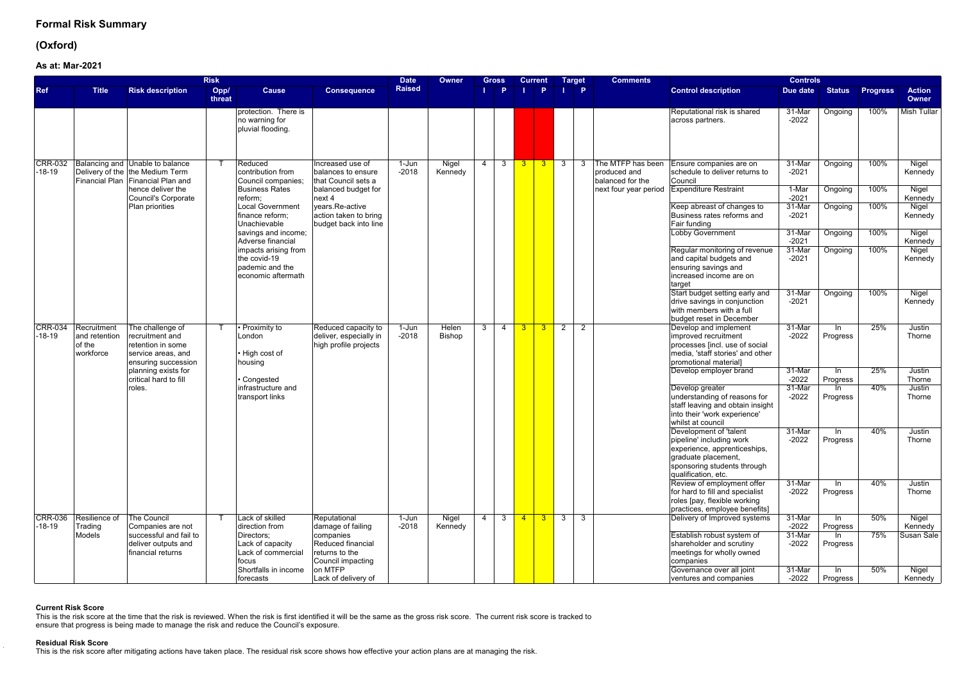## **(Oxford)**

**As at:Mar-2021**

|                            |                                                     |                                                                                                                  | <b>Risk</b>    |                                                                               |                                                                        | <b>Date</b>        | Owner            | Gross               |                | <b>Current</b> |                               | <b>Target</b>             | <b>Comments</b>                                       |                                                                                                                                                                 | <b>Controls</b>    |                   |                 |                               |
|----------------------------|-----------------------------------------------------|------------------------------------------------------------------------------------------------------------------|----------------|-------------------------------------------------------------------------------|------------------------------------------------------------------------|--------------------|------------------|---------------------|----------------|----------------|-------------------------------|---------------------------|-------------------------------------------------------|-----------------------------------------------------------------------------------------------------------------------------------------------------------------|--------------------|-------------------|-----------------|-------------------------------|
| <b>Ref</b>                 | <b>Title</b>                                        | <b>Risk description</b>                                                                                          | Opp/<br>threat | <b>Cause</b>                                                                  | <b>Consequence</b>                                                     | <b>Raised</b>      |                  | Þ                   |                | <b>P</b>       |                               | $\mathbf{I}$ $\mathbf{P}$ |                                                       | <b>Control description</b>                                                                                                                                      | Due date           | <b>Status</b>     | <b>Progress</b> | <b>Action</b><br><b>Owner</b> |
|                            |                                                     |                                                                                                                  |                | protection. There is<br>no warning for<br>pluvial flooding.                   |                                                                        |                    |                  |                     |                |                |                               |                           |                                                       | Reputational risk is shared<br>across partners.                                                                                                                 | 31-Mar<br>$-2022$  | Ongoing           | 100%            | <b>Mish Tullar</b>            |
| <b>CRR-032</b><br>$-18-19$ |                                                     | <b>Balancing and Unable to balance</b><br>Delivery of the the Medium Term<br>Financial Plan   Financial Plan and |                | Reduced<br>contribution from<br>Council companies;                            | Increased use of<br>balances to ensure<br>that Council sets a          | 1-Jun<br>$-2018$   | Nigel<br>Kennedy | 4<br>3              |                |                |                               | -3                        | The MTFP has been<br>produced and<br>balanced for the | Ensure companies are on<br>schedule to deliver returns to<br>Council                                                                                            | 31-Mar<br>$-2021$  | Ongoing           | 100%            | Nigel<br>Kennedy              |
|                            |                                                     | hence deliver the<br>Council's Corporate                                                                         |                | <b>Business Rates</b><br>reform:                                              | balanced budget for<br>next 4                                          |                    |                  |                     |                |                |                               |                           | next four year period                                 | <b>Expenditure Restraint</b>                                                                                                                                    | $1-Mar$<br>$-2021$ | Ongoing           | 100%            | Nigel<br>Kennedy              |
|                            |                                                     | Plan priorities                                                                                                  |                | <b>Local Government</b><br>finance reform;<br>Unachievable                    | years.Re-active<br>action taken to bring<br>budget back into line      |                    |                  |                     |                |                |                               |                           |                                                       | Keep abreast of changes to<br>Business rates reforms and<br>Fair funding                                                                                        | 31-Mar<br>$-2021$  | Ongoing           | 100%            | Nigel<br>Kennedy              |
|                            |                                                     |                                                                                                                  |                | savings and income;<br>Adverse financial                                      |                                                                        |                    |                  |                     |                |                |                               |                           |                                                       | <b>Lobby Government</b>                                                                                                                                         | 31-Mar<br>$-2021$  | Ongoing           | 100%            | Nigel<br>Kennedy              |
|                            |                                                     |                                                                                                                  |                | impacts arising from<br>the covid-19<br>pademic and the<br>economic aftermath |                                                                        |                    |                  |                     |                |                |                               |                           |                                                       | Regular monitoring of revenue<br>and capital budgets and<br>ensuring savings and<br>increased income are on<br>target                                           | 31-Mar<br>$-2021$  | Ongoing           | 100%            | Nigel<br>Kennedy              |
|                            |                                                     |                                                                                                                  |                |                                                                               |                                                                        |                    |                  |                     |                |                |                               |                           |                                                       | Start budget setting early and<br>drive savings in conjunction<br>with members with a full<br>budget reset in December                                          | 31-Mar<br>$-2021$  | Ongoing           | 100%            | Nigel<br>Kennedy              |
| <b>CRR-034</b><br>$-18-19$ | Recruitment<br>and retention<br>of the<br>workforce | The challenge of<br>recruitment and<br>retention in some<br>service areas, and<br>ensuring succession            |                | Proximity to<br>London<br>• High cost of<br>housing                           | Reduced capacity to<br>deliver, especially in<br>high profile projects | 1-Jun<br>$-2018$   | Helen<br>Bishop  | 3<br>4              | 3 <sup>°</sup> | 3 <sup>2</sup> | $\overline{2}$                | $\overline{2}$            |                                                       | Develop and implement<br>improved recruitment<br>processes [incl. use of social<br>media, 'staff stories' and other<br>promotional material]                    | 31-Mar<br>$-2022$  | ln.<br>Progress   | 25%             | Justin<br>Thorne              |
|                            |                                                     | planning exists for<br>critical hard to fill                                                                     |                | Congested                                                                     |                                                                        |                    |                  |                     |                |                |                               |                           |                                                       | Develop employer brand                                                                                                                                          | 31-Mar<br>$-2022$  | In In<br>Progress | 25%             | Justin<br>Thorne              |
|                            |                                                     | roles.                                                                                                           |                | infrastructure and<br>transport links                                         |                                                                        |                    |                  |                     |                |                |                               |                           |                                                       | Develop greater<br>understanding of reasons for<br>staff leaving and obtain insight<br>into their 'work experience'<br>whilst at council                        | 31-Mar<br>$-2022$  | In In<br>Progress | 40%             | Justin<br>Thorne              |
|                            |                                                     |                                                                                                                  |                |                                                                               |                                                                        |                    |                  |                     |                |                |                               |                           |                                                       | Development of 'talent<br>pipeline' including work<br>experience, apprenticeships,<br>graduate placement,<br>sponsoring students through<br>qualification, etc. | 31-Mar<br>$-2022$  | -ln<br>Progress   | 40%             | Justin<br>Thorne              |
|                            |                                                     |                                                                                                                  |                |                                                                               |                                                                        |                    |                  |                     |                |                |                               |                           |                                                       | Review of employment offer<br>for hard to fill and specialist<br>roles [pay, flexible working<br>practices, employee benefits]                                  | 31-Mar<br>$-2022$  | - In<br>Progress  | 40%             | Justin<br>Thorne              |
| <b>CRR-036</b>             | Resilience of<br>Trading                            | <b>The Council</b><br>Companies are not                                                                          |                | Lack of skilled<br>direction from                                             | Reputational<br>damage of failing                                      | $1-Jun$<br>$-2018$ | Nigel<br>Kennedy | $\overline{4}$<br>3 | $-4$           |                | $\overline{3}$ $\overline{3}$ | $\overline{3}$            |                                                       | Delivery of Improved systems                                                                                                                                    | 31-Mar<br>$-2022$  | $\ln$<br>Progress | 50%             | Nigel<br>Kennedy              |
| $-18-19$                   | Models                                              | successful and fail to<br>deliver outputs and<br>financial returns                                               |                | Directors;<br>Lack of capacity<br>Lack of commercial<br>focus                 | companies<br>Reduced financial<br>returns to the<br>Council impacting  |                    |                  |                     |                |                |                               |                           |                                                       | Establish robust system of<br>shareholder and scrutiny<br>meetings for wholly owned<br>companies                                                                | 31-Mar<br>$-2022$  | In In<br>Progress | 75%             | Susan Sale                    |
|                            |                                                     |                                                                                                                  |                | Shortfalls in income<br>forecasts                                             | on MTFP<br>Lack of delivery of                                         |                    |                  |                     |                |                |                               |                           |                                                       | Governance over all joint<br>ventures and companies                                                                                                             | 31-Mar<br>$-2022$  | In<br>Progress    | 50%             | Nigel<br>Kennedy              |

### **Current Risk Score**

This is the risk score at the time that the risk is reviewed. When the risk is first identified it will be the same as the gross risk score. The current risk score is tracked to ensure that progress is being made to manage the risk and reduce the Council's exposure.

### **Residual Risk Score**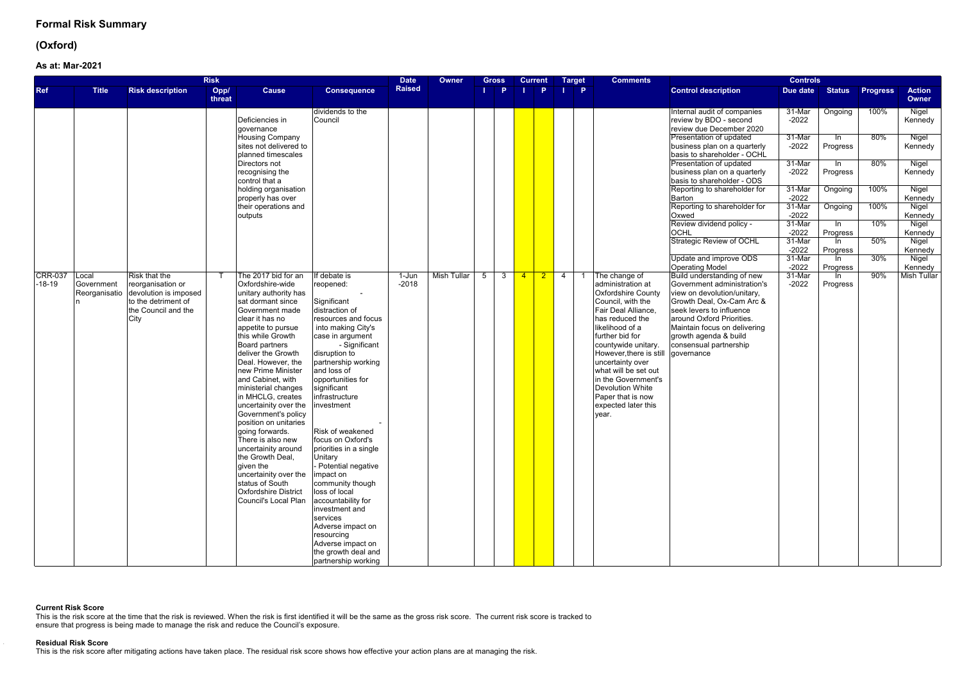## **(Oxford)**

### **As at:Mar-2021**

|                            |                                      |                                                                                                                   | <b>Risk</b>    |                                                                                                                                                                                                                                                                                                                                                                                                                                                                                                                                                                                                  |                                                                                                                                                                                                                                                                                                                                                                                                                                                                                                                                                                                         | <b>Date</b>          | Owner              | Gross          |          | <b>Current</b> |    | <b>Target</b>             | <b>Comments</b>                                                                                                                                                                                                                                                                                                                                                        |                                                                                                                                                                                                                                                                   | <b>Controls</b>   |                   |                 |                        |
|----------------------------|--------------------------------------|-------------------------------------------------------------------------------------------------------------------|----------------|--------------------------------------------------------------------------------------------------------------------------------------------------------------------------------------------------------------------------------------------------------------------------------------------------------------------------------------------------------------------------------------------------------------------------------------------------------------------------------------------------------------------------------------------------------------------------------------------------|-----------------------------------------------------------------------------------------------------------------------------------------------------------------------------------------------------------------------------------------------------------------------------------------------------------------------------------------------------------------------------------------------------------------------------------------------------------------------------------------------------------------------------------------------------------------------------------------|----------------------|--------------------|----------------|----------|----------------|----|---------------------------|------------------------------------------------------------------------------------------------------------------------------------------------------------------------------------------------------------------------------------------------------------------------------------------------------------------------------------------------------------------------|-------------------------------------------------------------------------------------------------------------------------------------------------------------------------------------------------------------------------------------------------------------------|-------------------|-------------------|-----------------|------------------------|
| <b>Ref</b>                 | <b>Title</b>                         | <b>Risk description</b>                                                                                           | Opp/<br>threat | <b>Cause</b>                                                                                                                                                                                                                                                                                                                                                                                                                                                                                                                                                                                     | <b>Consequence</b>                                                                                                                                                                                                                                                                                                                                                                                                                                                                                                                                                                      | <b>Raised</b>        |                    |                | <b>P</b> |                | P. | $\mathbf{I}$ $\mathbf{P}$ |                                                                                                                                                                                                                                                                                                                                                                        | <b>Control description</b>                                                                                                                                                                                                                                        | Due date          | <b>Status</b>     | <b>Progress</b> | <b>Action</b><br>Owner |
|                            |                                      |                                                                                                                   |                | Deficiencies in<br>qovernance                                                                                                                                                                                                                                                                                                                                                                                                                                                                                                                                                                    | dividends to the<br>Council                                                                                                                                                                                                                                                                                                                                                                                                                                                                                                                                                             |                      |                    |                |          |                |    |                           |                                                                                                                                                                                                                                                                                                                                                                        | Internal audit of companies<br>review by BDO - second<br>review due December 2020                                                                                                                                                                                 | 31-Mar<br>$-2022$ | Ongoing           | 100%            | Nigel<br>Kennedy       |
|                            |                                      |                                                                                                                   |                | <b>Housing Company</b><br>sites not delivered to<br>planned timescales                                                                                                                                                                                                                                                                                                                                                                                                                                                                                                                           |                                                                                                                                                                                                                                                                                                                                                                                                                                                                                                                                                                                         |                      |                    |                |          |                |    |                           |                                                                                                                                                                                                                                                                                                                                                                        | Presentation of updated<br>business plan on a quarterly<br>basis to shareholder - OCHL                                                                                                                                                                            | 31-Mar<br>$-2022$ | ln.<br>Progress   | 80%             | Nigel<br>Kennedy       |
|                            |                                      |                                                                                                                   |                | Directors not<br>recognising the<br>control that a                                                                                                                                                                                                                                                                                                                                                                                                                                                                                                                                               |                                                                                                                                                                                                                                                                                                                                                                                                                                                                                                                                                                                         |                      |                    |                |          |                |    |                           |                                                                                                                                                                                                                                                                                                                                                                        | Presentation of updated<br>business plan on a quarterly<br>basis to shareholder - ODS                                                                                                                                                                             | 31-Mar<br>$-2022$ | In In<br>Progress | 80%             | Nigel<br>Kennedy       |
|                            |                                      |                                                                                                                   |                | holding organisation<br>properly has over                                                                                                                                                                                                                                                                                                                                                                                                                                                                                                                                                        |                                                                                                                                                                                                                                                                                                                                                                                                                                                                                                                                                                                         |                      |                    |                |          |                |    |                           |                                                                                                                                                                                                                                                                                                                                                                        | Reporting to shareholder for<br>Barton                                                                                                                                                                                                                            | 31-Mar<br>$-2022$ | Ongoing           | 100%            | Nigel<br>Kennedy       |
|                            |                                      |                                                                                                                   |                | their operations and<br>outputs                                                                                                                                                                                                                                                                                                                                                                                                                                                                                                                                                                  |                                                                                                                                                                                                                                                                                                                                                                                                                                                                                                                                                                                         |                      |                    |                |          |                |    |                           |                                                                                                                                                                                                                                                                                                                                                                        | Reporting to shareholder for<br>Oxwed                                                                                                                                                                                                                             | 31-Mar<br>$-2022$ | Ongoing           | 100%            | Nigel<br>Kennedy       |
|                            |                                      |                                                                                                                   |                |                                                                                                                                                                                                                                                                                                                                                                                                                                                                                                                                                                                                  |                                                                                                                                                                                                                                                                                                                                                                                                                                                                                                                                                                                         |                      |                    |                |          |                |    |                           |                                                                                                                                                                                                                                                                                                                                                                        | Review dividend policy -<br><b>OCHL</b>                                                                                                                                                                                                                           | 31-Mar<br>$-2022$ | ln.<br>Progress   | 10%             | Nigel<br>Kennedy       |
|                            |                                      |                                                                                                                   |                |                                                                                                                                                                                                                                                                                                                                                                                                                                                                                                                                                                                                  |                                                                                                                                                                                                                                                                                                                                                                                                                                                                                                                                                                                         |                      |                    |                |          |                |    |                           |                                                                                                                                                                                                                                                                                                                                                                        | <b>Strategic Review of OCHL</b>                                                                                                                                                                                                                                   | 31-Mar<br>$-2022$ | In.<br>Progress   | 50%             | Nigel<br>Kennedy       |
|                            |                                      |                                                                                                                   |                |                                                                                                                                                                                                                                                                                                                                                                                                                                                                                                                                                                                                  |                                                                                                                                                                                                                                                                                                                                                                                                                                                                                                                                                                                         |                      |                    |                |          |                |    |                           |                                                                                                                                                                                                                                                                                                                                                                        | Update and improve ODS<br><b>Operating Model</b>                                                                                                                                                                                                                  | 31-Mar<br>$-2022$ | In In<br>Progress | 30%             | Nigel<br>Kennedy       |
| <b>CRR-037</b><br>$-18-19$ | Local<br>Government<br>Reorganisatio | Risk that the<br>reorganisation or<br>devolution is imposed<br>to the detriment of<br>the Council and the<br>City |                | The 2017 bid for an<br>Oxfordshire-wide<br>unitary authority has<br>sat dormant since<br>Government made<br>clear it has no<br>appetite to pursue<br>this while Growth<br>Board partners<br>deliver the Growth<br>Deal. However, the<br>new Prime Minister<br>and Cabinet, with<br>ministerial changes<br>in MHCLG, creates<br>uncertainity over the<br>Government's policy<br>position on unitaries<br>going forwards.<br>There is also new<br>uncertainity around<br>the Growth Deal,<br>given the<br>uncertainity over the<br>status of South<br>Oxfordshire District<br>Council's Local Plan | If debate is<br>reopened:<br>Significant<br>distraction of<br>resources and focus<br>into making City's<br>case in argument<br>- Significant<br>disruption to<br>partnership working<br>and loss of<br>opportunities for<br>significant<br>infrastructure<br>investment<br>Risk of weakened<br>focus on Oxford's<br>priorities in a single<br>Unitary<br>Potential negative<br>impact on<br>community though<br>loss of local<br>accountability for<br>investment and<br>services<br>Adverse impact on<br>resourcing<br>Adverse impact on<br>the growth deal and<br>partnership working | $1 - Jun$<br>$-2018$ | <b>Mish Tullar</b> | 5 <sup>5</sup> |          | 3 4 2 4        |    |                           | The change of<br>administration at<br>Oxfordshire County<br>Council, with the<br>Fair Deal Alliance,<br>has reduced the<br>likelihood of a<br>further bid for<br>countywide unitary.<br>However, there is still governance<br>uncertainty over<br>what will be set out<br>in the Government's<br>Devolution White<br>Paper that is now<br>expected later this<br>vear. | Build understanding of new<br>Government administration's<br>view on devolution/unitary,<br>Growth Deal, Ox-Cam Arc &<br>seek levers to influence<br>around Oxford Priorities.<br>Maintain focus on delivering<br>growth agenda & build<br>consensual partnership | 31-Mar<br>$-2022$ | -In<br>Progress   | 90%             | <b>Mish Tullar</b>     |

### **Current Risk Score**

This is the risk score at the time that the risk is reviewed. When the risk is first identified it will be the same as the gross risk score. The current risk score is tracked to ensure that progress is being made to manage the risk and reduce the Council's exposure.

#### **Residual Risk Score**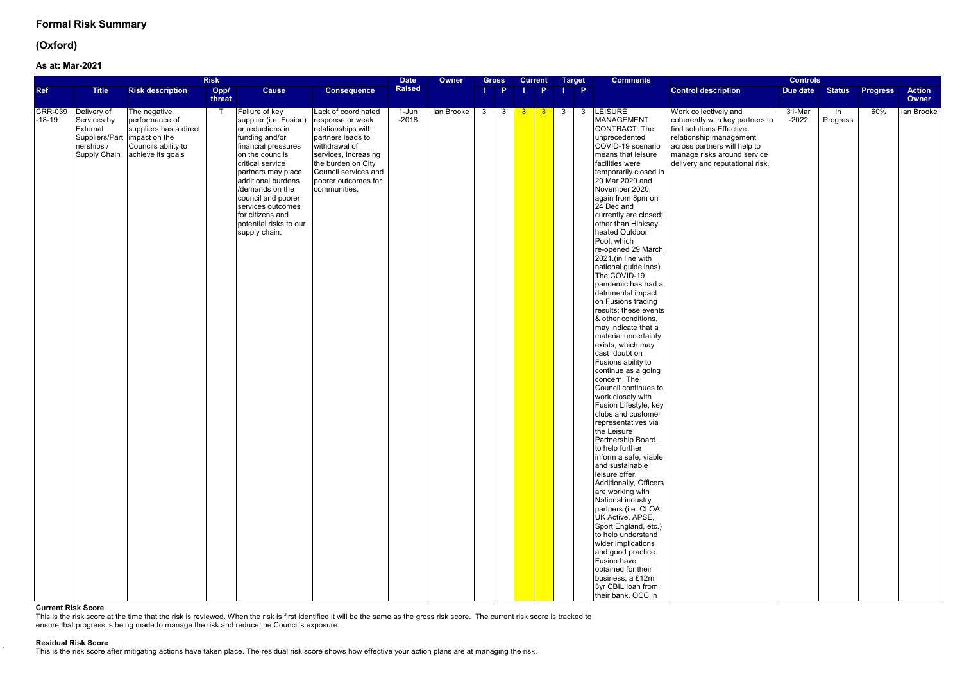## **(Oxford)**

### **As at:Mar-2021**

| <b>Risk</b>                |                                                                      |                                                                                                                                        |                |                                                                                                                                                                                                                                                                                                                       |                                                                                                                                                                                                                  | <b>Date</b>      | Owner      | <b>Gross</b>                 | <b>Current</b>                                                              | <b>Target</b>  | <b>Comments</b>                                                                                                                                                                                                                                                                                                                                                                                                                                                                                                                                                                                                                                                                                                                                                                                                                                                                                                                                                                                                                                                                                                                                                                                                               |                                                                                                                                                                                                                    | <b>Controls</b>   |                 |                 |                        |
|----------------------------|----------------------------------------------------------------------|----------------------------------------------------------------------------------------------------------------------------------------|----------------|-----------------------------------------------------------------------------------------------------------------------------------------------------------------------------------------------------------------------------------------------------------------------------------------------------------------------|------------------------------------------------------------------------------------------------------------------------------------------------------------------------------------------------------------------|------------------|------------|------------------------------|-----------------------------------------------------------------------------|----------------|-------------------------------------------------------------------------------------------------------------------------------------------------------------------------------------------------------------------------------------------------------------------------------------------------------------------------------------------------------------------------------------------------------------------------------------------------------------------------------------------------------------------------------------------------------------------------------------------------------------------------------------------------------------------------------------------------------------------------------------------------------------------------------------------------------------------------------------------------------------------------------------------------------------------------------------------------------------------------------------------------------------------------------------------------------------------------------------------------------------------------------------------------------------------------------------------------------------------------------|--------------------------------------------------------------------------------------------------------------------------------------------------------------------------------------------------------------------|-------------------|-----------------|-----------------|------------------------|
| <b>Ref</b>                 | <b>Title</b>                                                         | <b>Risk description</b>                                                                                                                | Opp/<br>threat | <b>Cause</b>                                                                                                                                                                                                                                                                                                          | <b>Consequence</b>                                                                                                                                                                                               | <b>Raised</b>    |            | $\mathbf{I}$ $\mathbf{P}$    | <b>P</b>                                                                    | $\blacksquare$ |                                                                                                                                                                                                                                                                                                                                                                                                                                                                                                                                                                                                                                                                                                                                                                                                                                                                                                                                                                                                                                                                                                                                                                                                                               | <b>Control description</b>                                                                                                                                                                                         | Due date          | <b>Status</b>   | <b>Progress</b> | <b>Action</b><br>Owner |
| <b>CRR-039</b><br>$-18-19$ | Delivery of<br>Services by<br>External<br>nerships /<br>Supply Chain | The negative<br>performance of<br>suppliers has a direct<br>Suppliers/Part   impact on the<br>Councils ability to<br>achieve its goals |                | Failure of key<br>supplier (i.e. Fusion)<br>or reductions in<br>funding and/or<br>financial pressures<br>on the councils<br>critical service<br>partners may place<br>additional burdens<br>/demands on the<br>council and poorer<br>services outcomes<br>for citizens and<br>potential risks to our<br>supply chain. | Lack of coordinated<br>response or weak<br>relationships with<br>partners leads to<br>withdrawal of<br>services, increasing<br>the burden on City<br>Council services and<br>poorer outcomes for<br>communities. | 1-Jun<br>$-2018$ | lan Brooke | $\overline{\mathbf{3}}$<br>3 | $\begin{array}{ c c c c c } \hline 3 & 3 \\ \hline \end{array}$<br><b>3</b> | 3              | <b>LEISURE</b><br>MANAGEMENT<br>CONTRACT: The<br>unprecedented<br>COVID-19 scenario<br>means that leisure<br>facilities were<br>temporarily closed in<br>20 Mar 2020 and<br>November 2020;<br>again from 8pm on<br>24 Dec and<br>currently are closed;<br>other than Hinksey<br>heated Outdoor<br>Pool, which<br>re-opened 29 March<br>2021.(in line with<br>national guidelines).<br>The COVID-19<br>pandemic has had a<br>detrimental impact<br>on Fusions trading<br>results; these events<br>& other conditions,<br>may indicate that a<br>material uncertainty<br>exists, which may<br>cast doubt on<br>Fusions ability to<br>continue as a going<br>concern. The<br>Council continues to<br>work closely with<br>Fusion Lifestyle, key<br>clubs and customer<br>representatives via<br>the Leisure<br>Partnership Board,<br>to help further<br>inform a safe, viable<br>and sustainable<br>leisure offer.<br>Additionally, Officers<br>are working with<br>National industry<br>partners (i.e. CLOA,<br>UK Active, APSE,<br>Sport England, etc.)<br>to help understand<br>wider implications<br>and good practice.<br>Fusion have<br>obtained for their<br>business, a £12m<br>3yr CBIL loan from<br>their bank. OCC in | Work collectively and<br>coherently with key partners to<br>find solutions. Effective<br>relationship management<br>across partners will help to<br>manage risks around service<br>delivery and reputational risk. | 31-Mar<br>$-2022$ | ln.<br>Progress | 60%             | lan Brooke             |

### **Current Risk Score**

This is the risk score at the time that the risk is reviewed. When the risk is first identified it will be the same as the gross risk score. The current risk score is tracked to ensure that progress is being made to manage the risk and reduce the Council's exposure.

#### **Residual Risk Score**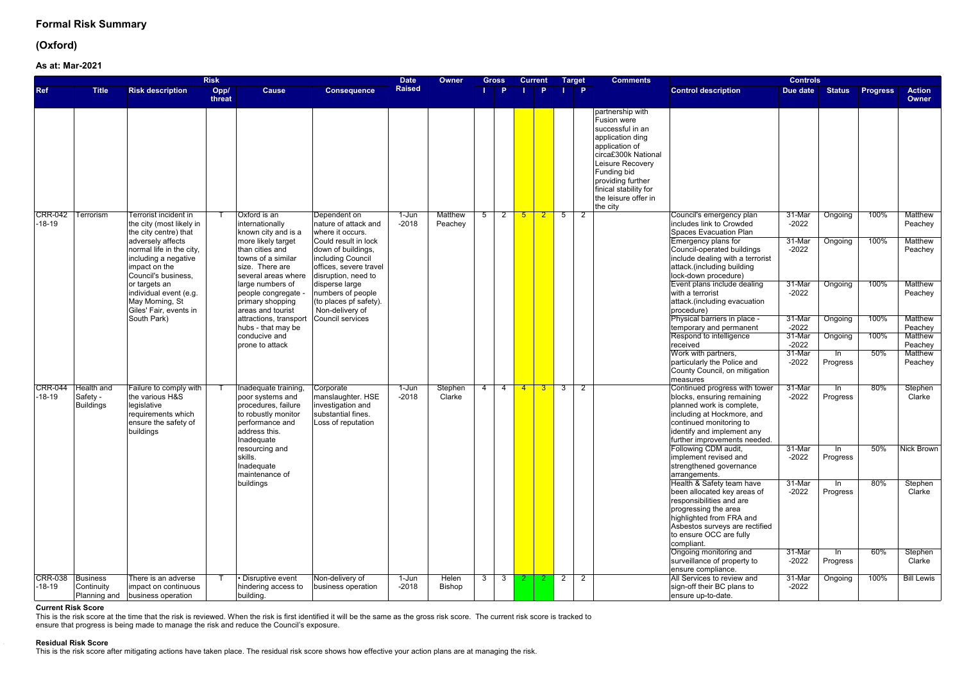## **(Oxford)**

### **As at:Mar-2021**

|                            |                                        |                                                                                                                     | <b>Risk</b>    |                                                                                                                                          |                                                                                                                  | <b>Date</b>        | Owner                         | Gross                            |   | <b>Current</b>                                                      |                | <b>Comments</b><br><b>Target</b>                                                                                                                                                                                                      |                                                                                                                                                                                                                     | <b>Controls</b>             |                    |                 |                                             |
|----------------------------|----------------------------------------|---------------------------------------------------------------------------------------------------------------------|----------------|------------------------------------------------------------------------------------------------------------------------------------------|------------------------------------------------------------------------------------------------------------------|--------------------|-------------------------------|----------------------------------|---|---------------------------------------------------------------------|----------------|---------------------------------------------------------------------------------------------------------------------------------------------------------------------------------------------------------------------------------------|---------------------------------------------------------------------------------------------------------------------------------------------------------------------------------------------------------------------|-----------------------------|--------------------|-----------------|---------------------------------------------|
| <b>Ref</b>                 | <b>Title</b>                           | <b>Risk description</b>                                                                                             | Opp/<br>threat | <b>Cause</b>                                                                                                                             | <b>Consequence</b>                                                                                               | <b>Raised</b>      |                               | Þ                                |   | P.                                                                  |                | $\mathsf{I}$ $\mathsf{P}$                                                                                                                                                                                                             | <b>Control description</b>                                                                                                                                                                                          | Due date                    | <b>Status</b>      | <b>Progress</b> | <b>Action</b><br>Owner                      |
|                            |                                        |                                                                                                                     |                |                                                                                                                                          |                                                                                                                  |                    |                               |                                  |   |                                                                     |                | partnership with<br>Fusion were<br>successful in an<br>application ding<br>application of<br>circa£300k National<br>Leisure Recovery<br>Funding bid<br>providing further<br>finical stability for<br>the leisure offer in<br>the city |                                                                                                                                                                                                                     |                             |                    |                 |                                             |
| <b>CRR-042</b><br>$-18-19$ | Terrorism                              | Terrorist incident in<br>the city (most likely in<br>the city centre) that                                          |                | Oxford is an<br>internationally<br>known city and is a                                                                                   | Dependent on<br>nature of attack and<br>where it occurs.                                                         | 1-Jun<br>$-2018$   | <b>Matthew</b><br>Peachey     | $\overline{5}$<br>$2^{\circ}$    | 5 | $\begin{array}{ c c c } \hline \textbf{2} & \textbf{5} \end{array}$ |                | 2                                                                                                                                                                                                                                     | Council's emergency plan<br>includes link to Crowded<br>Spaces Evacuation Plan                                                                                                                                      | 31-Mar<br>$-2022$           | Ongoing            | 100%            | <b>Matthew</b><br>Peachey                   |
|                            |                                        | adversely affects<br>normal life in the city,<br>including a negative<br>impact on the<br>Council's business,       |                | more likely target<br>than cities and<br>towns of a similar<br>size. There are<br>several areas where                                    | Could result in lock<br>down of buildings,<br>including Council<br>offices, severe travel<br>disruption, need to |                    |                               |                                  |   |                                                                     |                |                                                                                                                                                                                                                                       | Emergency plans for<br>Council-operated buildings<br>include dealing with a terrorist<br>attack.(including building<br>lock-down procedure)                                                                         | 31-Mar<br>$-2022$           | Ongoing            | 100%            | <b>Matthew</b><br>Peachey                   |
|                            |                                        | or targets an<br>individual event (e.g.<br>May Morning, St<br>Giles' Fair, events in                                |                | large numbers of<br>people congregate -<br>primary shopping<br>areas and tourist                                                         | disperse large<br>numbers of people<br>(to places pf safety).<br>Non-delivery of                                 |                    |                               |                                  |   |                                                                     |                |                                                                                                                                                                                                                                       | Event plans include dealing<br>with a terrorist<br>attack.(including evacuation<br>procedure)                                                                                                                       | 31-Mar<br>$-2022$           | Ongoing            | 100%            | <b>Matthew</b><br>Peachey                   |
|                            |                                        | South Park)                                                                                                         |                | attractions, transport<br>hubs - that may be<br>conducive and                                                                            | Council services                                                                                                 |                    |                               |                                  |   |                                                                     |                |                                                                                                                                                                                                                                       | Physical barriers in place -<br>temporary and permanent<br>Respond to intelligence                                                                                                                                  | 31-Mar<br>$-2022$<br>31-Mar | Ongoing<br>Ongoing | 100%<br>100%    | <b>Matthew</b><br>Peachey<br><b>Matthew</b> |
|                            |                                        |                                                                                                                     |                | prone to attack                                                                                                                          |                                                                                                                  |                    |                               |                                  |   |                                                                     |                |                                                                                                                                                                                                                                       | received                                                                                                                                                                                                            | $-2022$                     |                    |                 | Peachey                                     |
|                            |                                        |                                                                                                                     |                |                                                                                                                                          |                                                                                                                  |                    |                               |                                  |   |                                                                     |                |                                                                                                                                                                                                                                       | Work with partners,<br>particularly the Police and<br>County Council, on mitigation<br>measures                                                                                                                     | 31-Mar<br>$-2022$           | ln.<br>Progress    | 50%             | <b>Matthew</b><br>Peachey                   |
| <b>CRR-044</b><br>$-18-19$ | Health and<br>Safety -<br>Buildings    | Failure to comply with<br>the various H&S<br>legislative<br>requirements which<br>ensure the safety of<br>buildings |                | Inadequate training,<br>poor systems and<br>procedures, failure<br>to robustly monitor<br>performance and<br>address this.<br>Inadequate | Corporate<br>manslaughter. HSE<br>investigation and<br>substantial fines.<br>Loss of reputation                  | $1-Jun$<br>$-2018$ | Stephen<br>Clarke             | $\overline{4}$<br>$\overline{4}$ |   | $\begin{array}{ c c c c c }\n\hline\n4 & 3 & 3\n\end{array}$        |                | 2                                                                                                                                                                                                                                     | Continued progress with tower<br>blocks, ensuring remaining<br>planned work is complete,<br>including at Hockmore, and<br>continued monitoring to<br>identify and implement any<br>further improvements needed.     | 31-Mar<br>$-2022$           | In<br>Progress     | 80%             | Stephen<br>Clarke                           |
|                            |                                        |                                                                                                                     |                | resourcing and<br>skills.<br>Inadequate<br>maintenance of                                                                                |                                                                                                                  |                    |                               |                                  |   |                                                                     |                |                                                                                                                                                                                                                                       | Following CDM audit,<br>implement revised and<br>strengthened governance<br>arrangements.                                                                                                                           | 31-Mar<br>$-2022$           | -In<br>Progress    | 50%             | Nick Brown                                  |
|                            |                                        |                                                                                                                     |                | buildings                                                                                                                                |                                                                                                                  |                    |                               |                                  |   |                                                                     |                |                                                                                                                                                                                                                                       | Health & Safety team have<br>been allocated key areas of<br>responsibilities and are<br>progressing the area<br>highlighted from FRA and<br>Asbestos surveys are rectified<br>to ensure OCC are fully<br>compliant. | 31-Mar<br>$-2022$           | $\ln$<br>Progress  | 80%             | Stephen<br>Clarke                           |
|                            |                                        |                                                                                                                     |                |                                                                                                                                          |                                                                                                                  |                    |                               |                                  |   |                                                                     |                |                                                                                                                                                                                                                                       | Ongoing monitoring and<br>surveillance of property to<br>ensure compliance.                                                                                                                                         | 31-Mar<br>$-2022$           | In<br>Progress     | 60%             | Stephen<br>Clarke                           |
| <b>CRR-038</b><br>-18-19   | Business<br>Continuity<br>Planning and | There is an adverse<br>impact on continuous<br>business operation                                                   |                | • Disruptive event<br>hindering access to<br>building.                                                                                   | Non-delivery of<br>business operation                                                                            | $1-Jun$<br>$-2018$ | <b>Helen</b><br><b>Bishop</b> | 3 <sup>1</sup><br>3              |   | $2 \mid 2$                                                          | $\overline{2}$ | $\overline{2}$                                                                                                                                                                                                                        | All Services to review and<br>sign-off their BC plans to<br>ensure up-to-date.                                                                                                                                      | 31-Mar<br>$-2022$           | Ongoing            | 100%            | <b>Bill Lewis</b>                           |

### **Current Risk Score**

This is the risk score at the time that the risk is reviewed. When the risk is first identified it will be the same as the gross risk score. The current risk score is tracked to ensure that progress is being made to manage the risk and reduce the Council's exposure.

#### **Residual Risk Score**